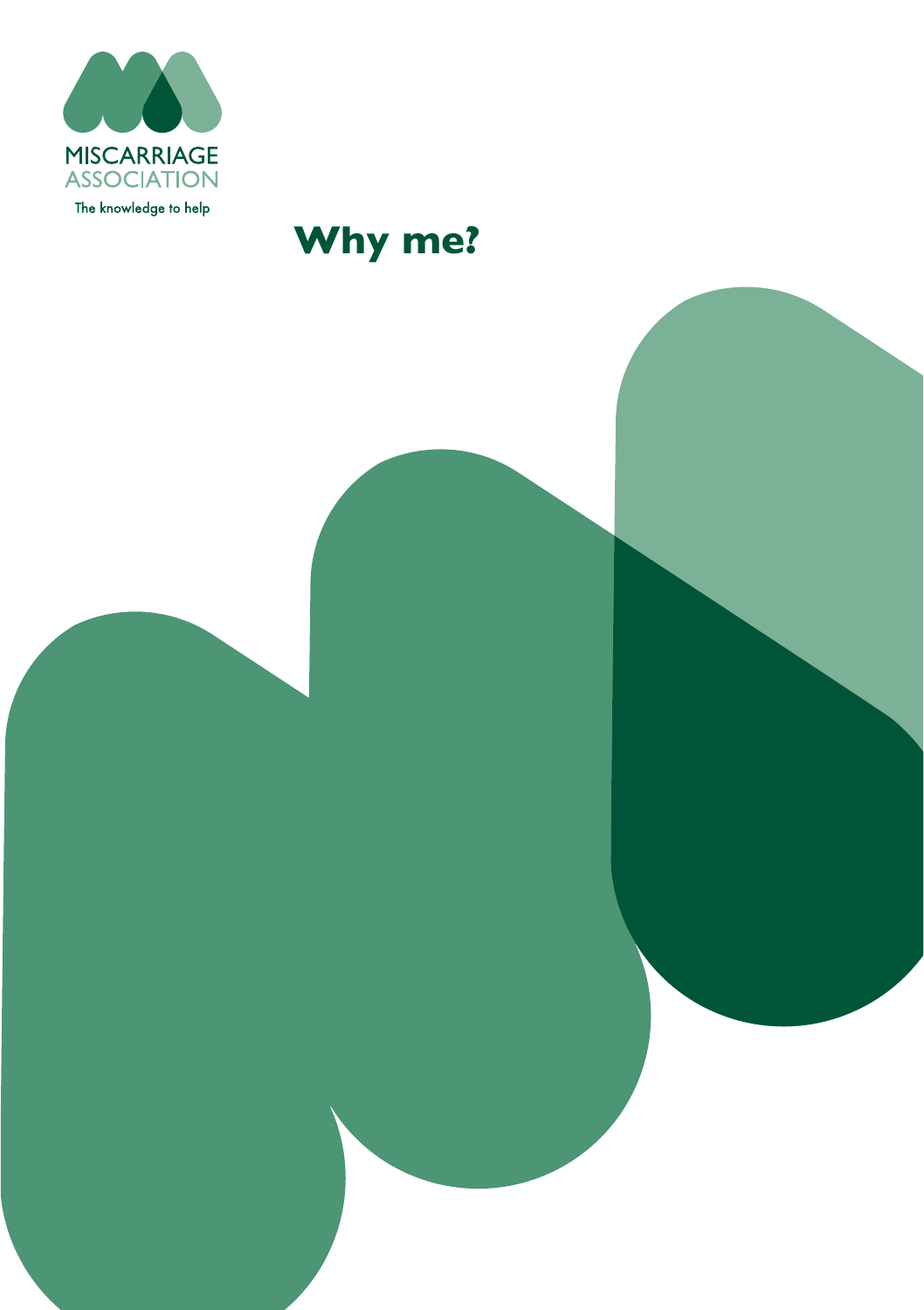

# **Why me?**

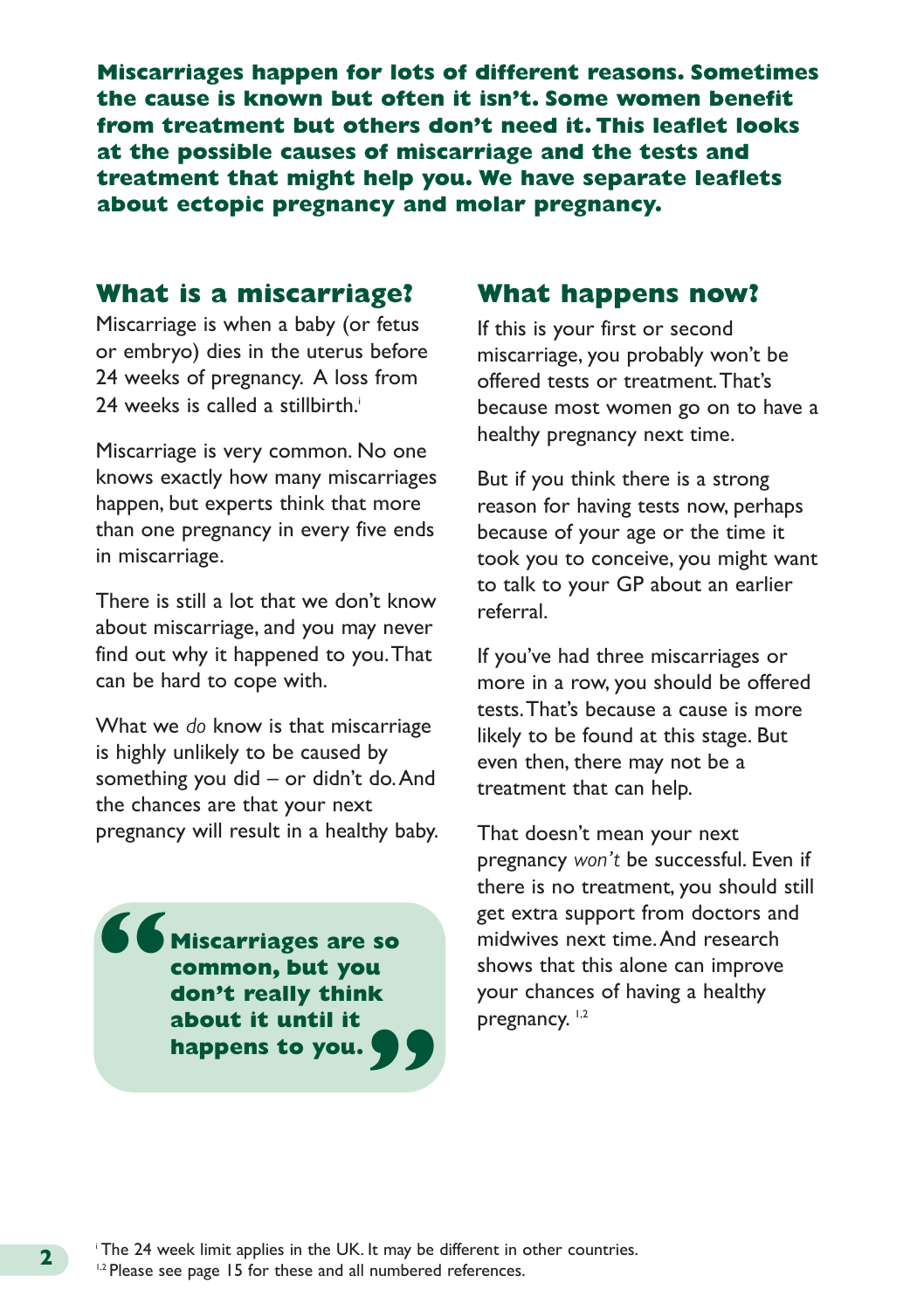**Miscarriages happen for lots of different reasons. Sometimes the cause is known but often it isn't. Some women benefit from treatment but others don't need it. This leaflet looks at the possible causes of miscarriage and the tests and treatment that might help you. We have separate leaflets about ectopic pregnancy and molar pregnancy.**

# **What is a miscarriage?**

Miscarriage is when a baby (or fetus or embryo) dies in the uterus before 24 weeks of pregnancy. A loss from 24 weeks is called a stillbirth.<sup>i</sup>

Miscarriage is very common. No one knows exactly how many miscarriages happen, but experts think that more than one pregnancy in every five ends in miscarriage.

There is still a lot that we don't know about miscarriage, and you may never find out why it happened to you. That can be hard to cope with.

What we *do* know is that miscarriage is highly unlikely to be caused by something you did – or didn't do. And the chances are that your next pregnancy will result in a healthy baby.

**Miscarriages are so common, but you don't really think about it until it happens to you. " "**

#### **What happens now?**

If this is your first or second miscarriage, you probably won't be offered tests or treatment. That's because most women go on to have a healthy pregnancy next time.

But if you think there is a strong reason for having tests now, perhaps because of your age or the time it took you to conceive, you might want to talk to your GP about an earlier referral.

If you've had three miscarriages or more in a row, you should be offered tests. That's because a cause is more likely to be found at this stage. But even then, there may not be a treatment that can help.

That doesn't mean your next pregnancy *won't* be successful. Even if there is no treatment, you should still get extra support from doctors and midwives next time. And research shows that this alone can improve your chances of having a healthy pregnancy.<sup>1,2</sup>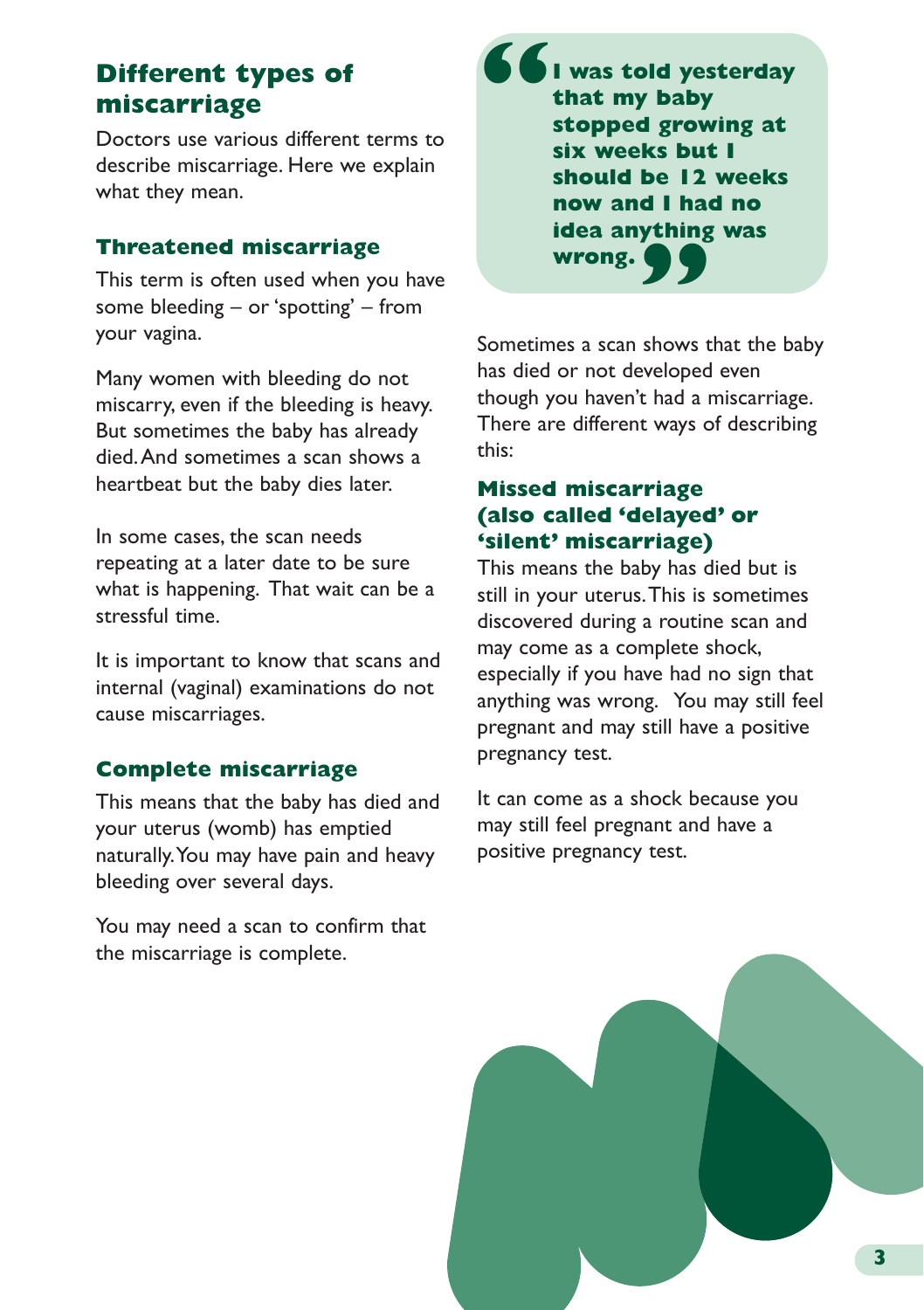# **Different types of miscarriage**

Doctors use various different terms to describe miscarriage. Here we explain what they mean.

#### **Threatened miscarriage**

This term is often used when you have some bleeding – or 'spotting' – from your vagina.

Many women with bleeding do not miscarry, even if the bleeding is heavy. But sometimes the baby has already died. And sometimes a scan shows a heartbeat but the baby dies later.

In some cases, the scan needs repeating at a later date to be sure what is happening. That wait can be a stressful time.

It is important to know that scans and internal (vaginal) examinations do not cause miscarriages.

# **Complete miscarriage**

This means that the baby has died and your uterus (womb) has emptied naturally. You may have pain and heavy bleeding over several days.

You may need a scan to confirm that the miscarriage is complete.

**I was told yesterday that my baby stopped growing at six weeks but I should be 12 weeks now and I had no idea anything was wrong. " "**

Sometimes a scan shows that the baby has died or not developed even though you haven't had a miscarriage. There are different ways of describing this:

## **Missed miscarriage (also called 'delayed' or 'silent' miscarriage)**

This means the baby has died but is still in your uterus. This is sometimes discovered during a routine scan and may come as a complete shock, especially if you have had no sign that anything was wrong. You may still feel pregnant and may still have a positive pregnancy test.

It can come as a shock because you may still feel pregnant and have a positive pregnancy test.

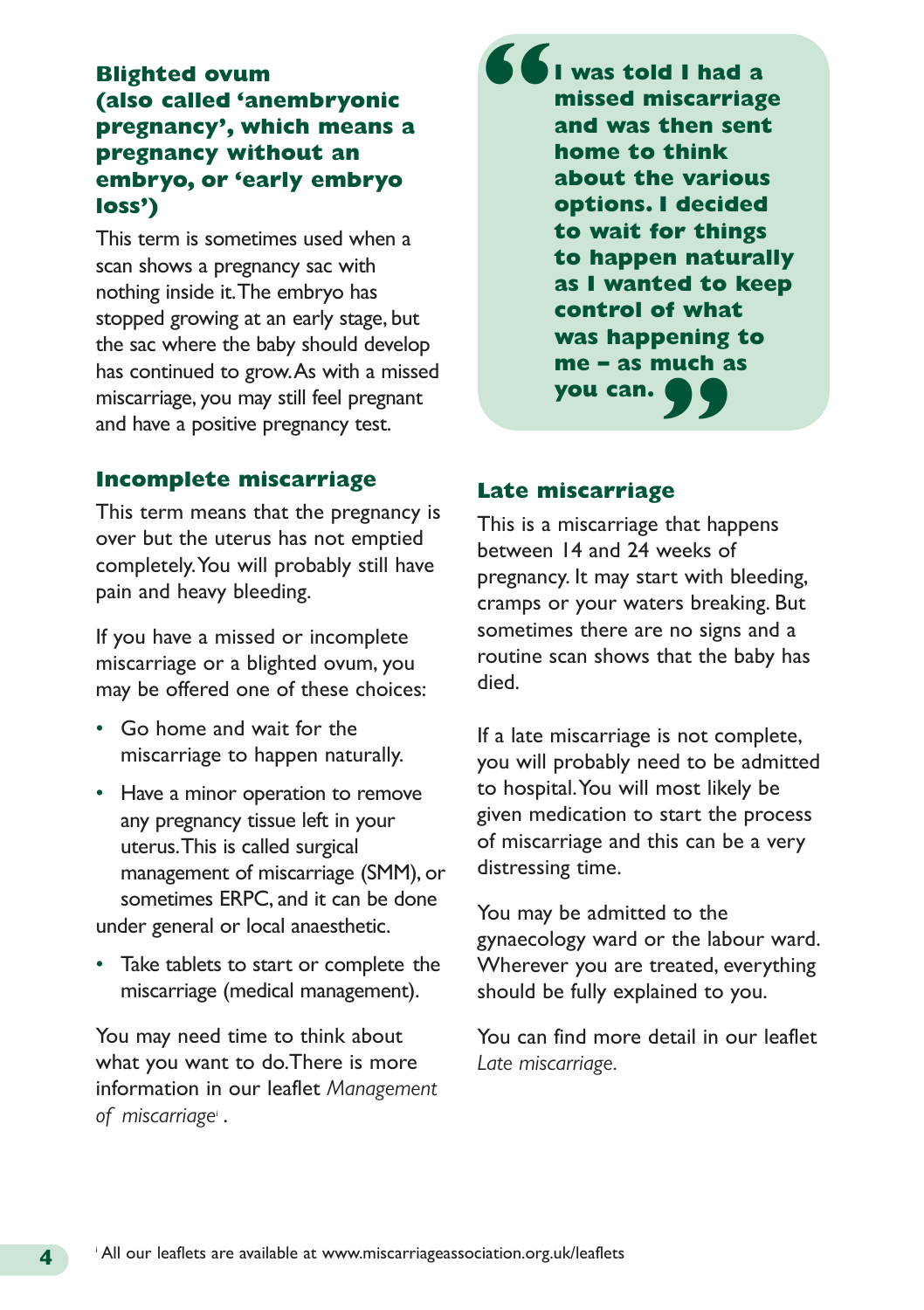## **Blighted ovum (also called 'anembryonic pregnancy', which means a pregnancy without an embryo, or 'early embryo loss')**

This term is sometimes used when a scan shows a pregnancy sac with nothing inside it. The embryo has stopped growing at an early stage, but the sac where the baby should develop has continued to grow. As with a missed miscarriage, you may still feel pregnant and have a positive pregnancy test.

**I was told I had a missed miscarriage and was then sent home to think about the various options. I decided to wait for things to happen naturally as I wanted to keep control of what was happening to** me – as much as<br>you can.<br> **99 you can. "**

#### **Incomplete miscarriage**

This term means that the pregnancy is over but the uterus has not emptied completely. You will probably still have pain and heavy bleeding.

If you have a missed or incomplete miscarriage or a blighted ovum, you may be offered one of these choices:

- Go home and wait for the miscarriage to happen naturally.
- Have a minor operation to remove any pregnancy tissue left in your uterus. This is called surgical management of miscarriage (SMM), or sometimes ERPC, and it can be done under general or local anaesthetic.
- Take tablets to start or complete the miscarriage (medical management).

You may need time to think about what you want to do.There is more information in our leaflet *Management of miscarriage*<sup>i</sup> .

#### **Late miscarriage**

This is a miscarriage that happens between 14 and 24 weeks of pregnancy. It may start with bleeding, cramps or your waters breaking. But sometimes there are no signs and a routine scan shows that the baby has died.

If a late miscarriage is not complete, you will probably need to be admitted to hospital. You will most likely be given medication to start the process of miscarriage and this can be a very distressing time.

You may be admitted to the gynaecology ward or the labour ward. Wherever you are treated, everything should be fully explained to you.

You can find more detail in our leaflet *Late miscarriage.*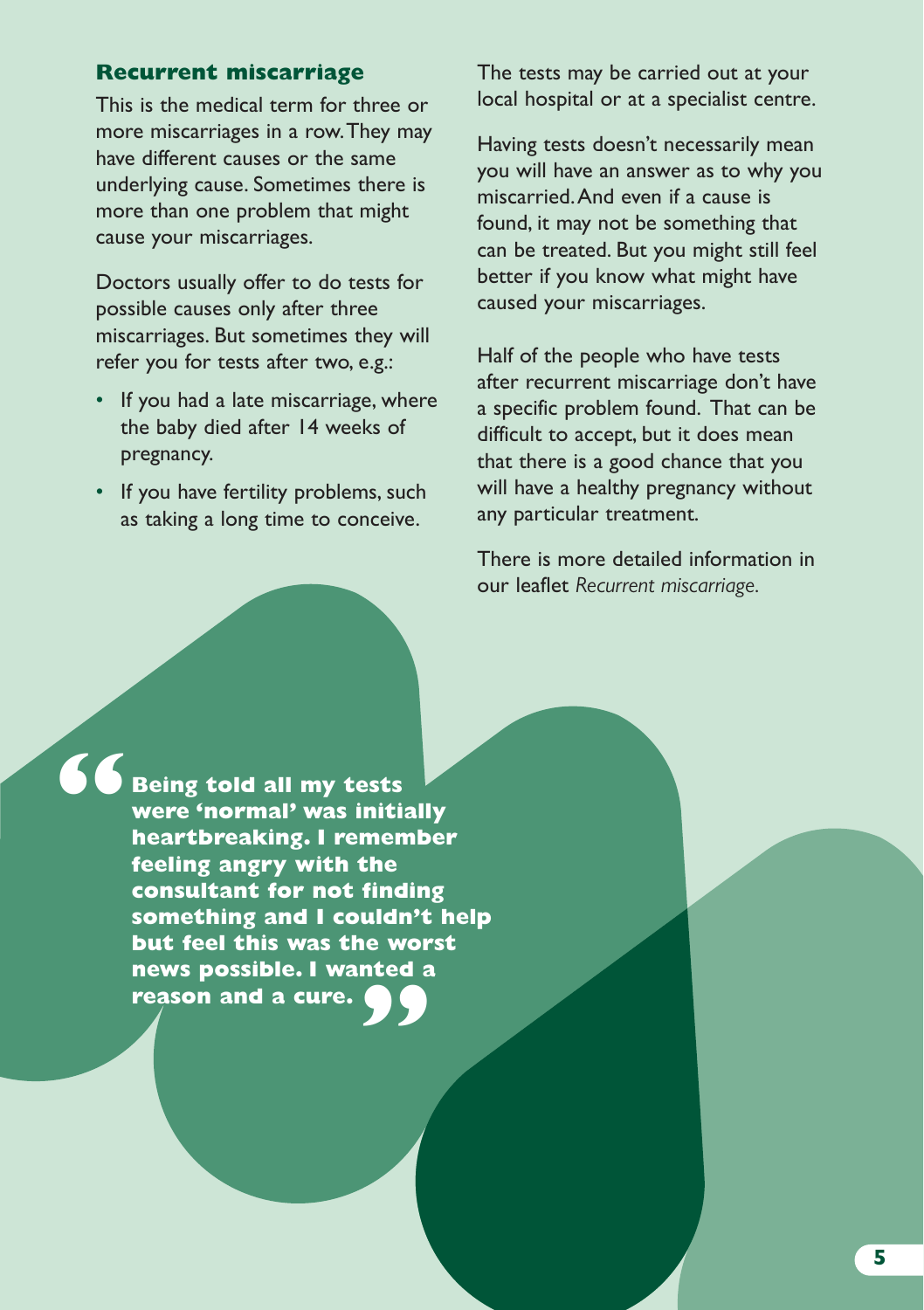#### **Recurrent miscarriage**

This is the medical term for three or more miscarriages in a row. They may have different causes or the same underlying cause. Sometimes there is more than one problem that might cause your miscarriages.

Doctors usually offer to do tests for possible causes only after three miscarriages. But sometimes they will refer you for tests after two, e.g.:

- If you had a late miscarriage, where the baby died after 14 weeks of pregnancy.
- If you have fertility problems, such as taking a long time to conceive.

The tests may be carried out at your local hospital or at a specialist centre.

Having tests doesn't necessarily mean you will have an answer as to why you miscarried. And even if a cause is found, it may not be something that can be treated. But you might still feel better if you know what might have caused your miscarriages.

Half of the people who have tests after recurrent miscarriage don't have a specific problem found. That can be difficult to accept, but it does mean that there is a good chance that you will have a healthy pregnancy without any particular treatment.

There is more detailed information in our leaflet *Recurrent miscarriage.*

**"**

**Being told all my tests were 'normal' was initially heartbreaking. I remember feeling angry with the consultant for not finding something and I couldn't help but feel this was the worst news possible. I wanted a " reason and a cure.**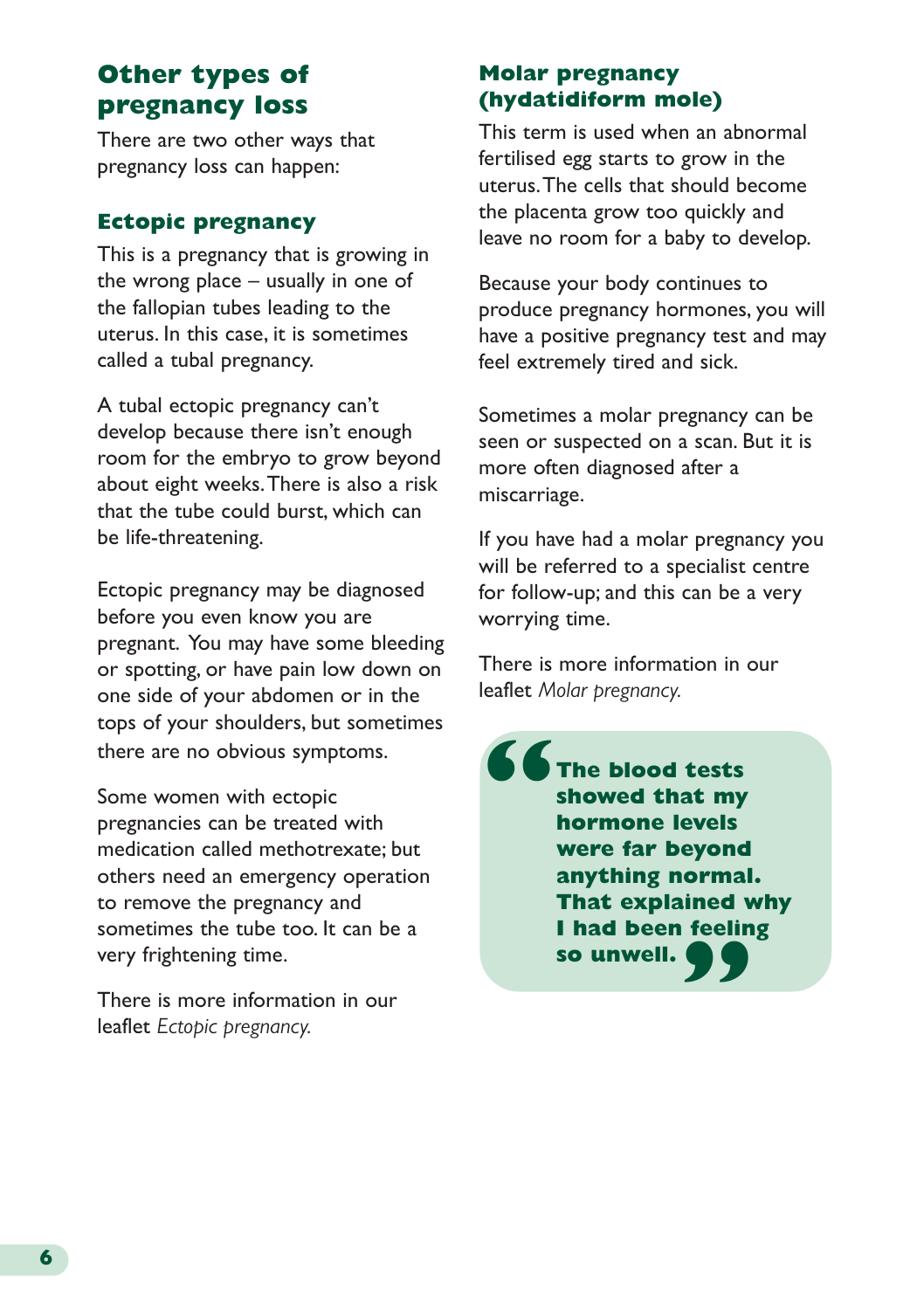# **Other types of pregnancy loss**

There are two other ways that pregnancy loss can happen:

## **Ectopic pregnancy**

This is a pregnancy that is growing in the wrong place – usually in one of the fallopian tubes leading to the uterus. In this case, it is sometimes called a tubal pregnancy.

A tubal ectopic pregnancy can't develop because there isn't enough room for the embryo to grow beyond about eight weeks. There is also a risk that the tube could burst, which can be life-threatening.

Ectopic pregnancy may be diagnosed before you even know you are pregnant. You may have some bleeding or spotting, or have pain low down on one side of your abdomen or in the tops of your shoulders, but sometimes there are no obvious symptoms.

Some women with ectopic pregnancies can be treated with medication called methotrexate; but others need an emergency operation to remove the pregnancy and sometimes the tube too. It can be a very frightening time.

There is more information in our leaflet *Ectopic pregnancy.*

## **Molar pregnancy (hydatidiform mole)**

This term is used when an abnormal fertilised egg starts to grow in the uterus. The cells that should become the placenta grow too quickly and leave no room for a baby to develop.

Because your body continues to produce pregnancy hormones, you will have a positive pregnancy test and may feel extremely tired and sick.

Sometimes a molar pregnancy can be seen or suspected on a scan. But it is more often diagnosed after a miscarriage.

If you have had a molar pregnancy you will be referred to a specialist centre for follow-up; and this can be a very worrying time.

There is more information in our leaflet *Molar pregnancy.*

**The blood tests showed that my hormone levels were far beyond anything normal. That explained why I had been feeling so unwell. " "**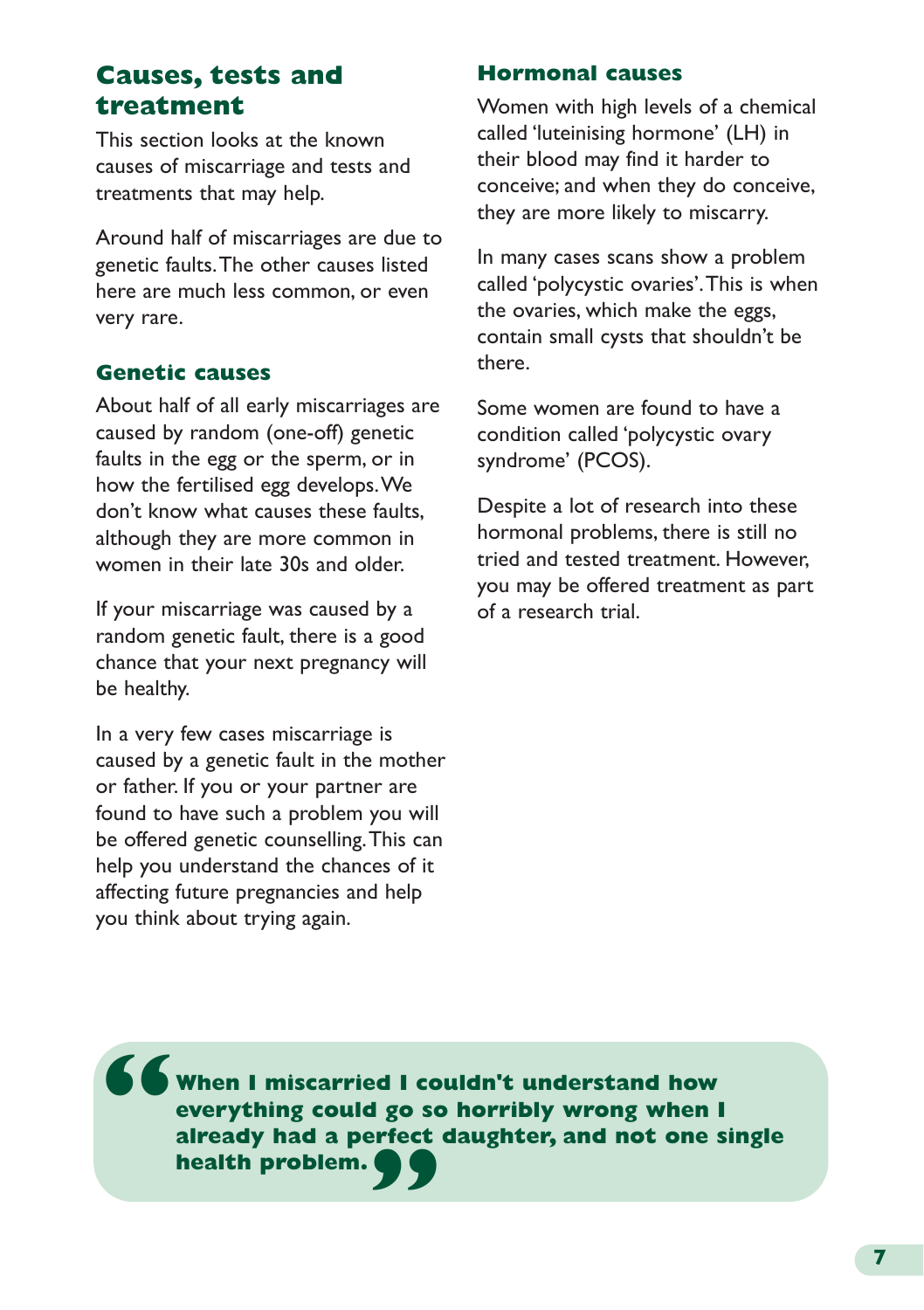# **Causes, tests and treatment**

This section looks at the known causes of miscarriage and tests and treatments that may help.

Around half of miscarriages are due to genetic faults. The other causes listed here are much less common, or even very rare.

### **Genetic causes**

About half of all early miscarriages are caused by random (one-off) genetic faults in the egg or the sperm, or in how the fertilised egg develops. We don't know what causes these faults, although they are more common in women in their late 30s and older.

If your miscarriage was caused by a random genetic fault, there is a good chance that your next pregnancy will be healthy.

In a very few cases miscarriage is caused by a genetic fault in the mother or father. If you or your partner are found to have such a problem you will be offered genetic counselling. This can help you understand the chances of it affecting future pregnancies and help you think about trying again.

#### **Hormonal causes**

Women with high levels of a chemical called 'luteinising hormone' (LH) in their blood may find it harder to conceive; and when they do conceive, they are more likely to miscarry.

In many cases scans show a problem called 'polycystic ovaries'. This is when the ovaries, which make the eggs, contain small cysts that shouldn't be there.

Some women are found to have a condition called 'polycystic ovary syndrome' (PCOS).

Despite a lot of research into these hormonal problems, there is still no tried and tested treatment. However, you may be offered treatment as part of a research trial.

**When I miscarried I couldn't understand how everything could go so horribly wrong when I already had a perfect daughter, and not one single health problem. " "**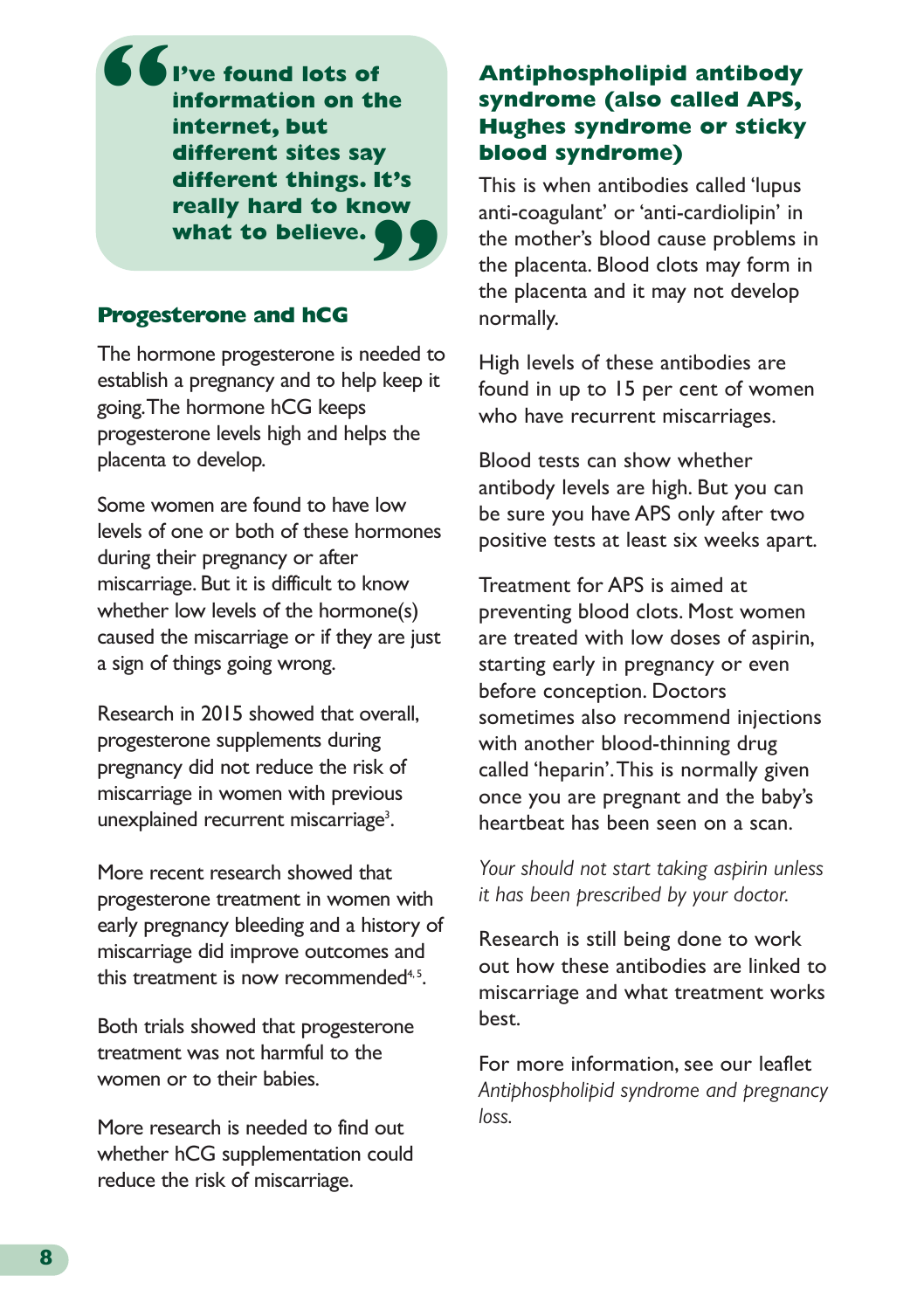**I've found lots of information on the internet, but different sites say different things. It's really hard to know what to believe. " "**

#### **Progesterone and hCG**

The hormone progesterone is needed to establish a pregnancy and to help keep it going. The hormone hCG keeps progesterone levels high and helps the placenta to develop.

Some women are found to have low levels of one or both of these hormones during their pregnancy or after miscarriage. But it is difficult to know whether low levels of the hormone(s) caused the miscarriage or if they are just a sign of things going wrong.

Research in 2015 showed that overall, progesterone supplements during pregnancy did not reduce the risk of miscarriage in women with previous unexplained recurrent miscarriage<sup>3</sup>.

More recent research showed that progesterone treatment in women with early pregnancy bleeding and a history of miscarriage did improve outcomes and this treatment is now recommended $4,5$ .

Both trials showed that progesterone treatment was not harmful to the women or to their babies.

More research is needed to find out whether hCG supplementation could reduce the risk of miscarriage.

### **Antiphospholipid antibody syndrome (also called APS, Hughes syndrome or sticky blood syndrome)**

This is when antibodies called 'lupus anti-coagulant' or 'anti-cardiolipin' in the mother's blood cause problems in the placenta. Blood clots may form in the placenta and it may not develop normally.

High levels of these antibodies are found in up to 15 per cent of women who have recurrent miscarriages.

Blood tests can show whether antibody levels are high. But you can be sure you have APS only after two positive tests at least six weeks apart.

Treatment for APS is aimed at preventing blood clots. Most women are treated with low doses of aspirin, starting early in pregnancy or even before conception. Doctors sometimes also recommend injections with another blood-thinning drug called 'heparin'. This is normally given once you are pregnant and the baby's heartbeat has been seen on a scan.

*Your should not start taking aspirin unless it has been prescribed by your doctor.*

Research is still being done to work out how these antibodies are linked to miscarriage and what treatment works best.

For more information, see our leaflet *Antiphospholipid syndrome and pregnancy loss.*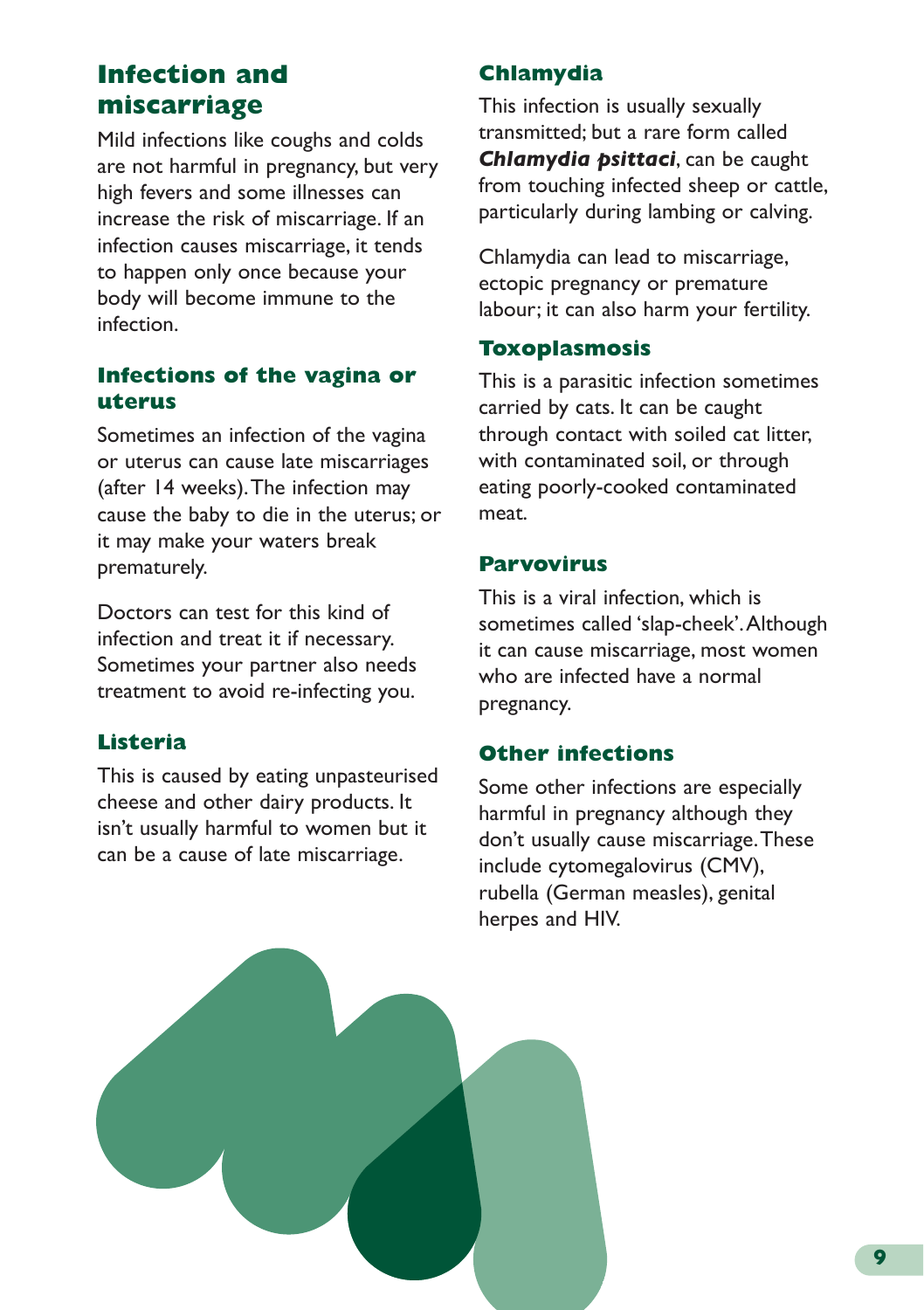# **Infection and miscarriage**

Mild infections like coughs and colds are not harmful in pregnancy, but very high fevers and some illnesses can increase the risk of miscarriage. If an infection causes miscarriage, it tends to happen only once because your body will become immune to the infection.

### **Infections of the vagina or uterus**

Sometimes an infection of the vagina or uterus can cause late miscarriages (after 14 weeks). The infection may cause the baby to die in the uterus; or it may make your waters break prematurely.

Doctors can test for this kind of infection and treat it if necessary. Sometimes your partner also needs treatment to avoid re-infecting you.

# **Listeria**

This is caused by eating unpasteurised cheese and other dairy products. It isn't usually harmful to women but it can be a cause of late miscarriage.

# **Chlamydia**

This infection is usually sexually transmitted; but a rare form called *Chlamydia psittaci*, can be caught from touching infected sheep or cattle, particularly during lambing or calving.

Chlamydia can lead to miscarriage, ectopic pregnancy or premature labour; it can also harm your fertility.

#### **Toxoplasmosis**

This is a parasitic infection sometimes carried by cats. It can be caught through contact with soiled cat litter, with contaminated soil, or through eating poorly-cooked contaminated meat.

#### **Parvovirus**

This is a viral infection, which is sometimes called 'slap-cheek'. Although it can cause miscarriage, most women who are infected have a normal pregnancy.

### **Other infections**

Some other infections are especially harmful in pregnancy although they don't usually cause miscarriage. These include cytomegalovirus (CMV), rubella (German measles), genital herpes and HIV.

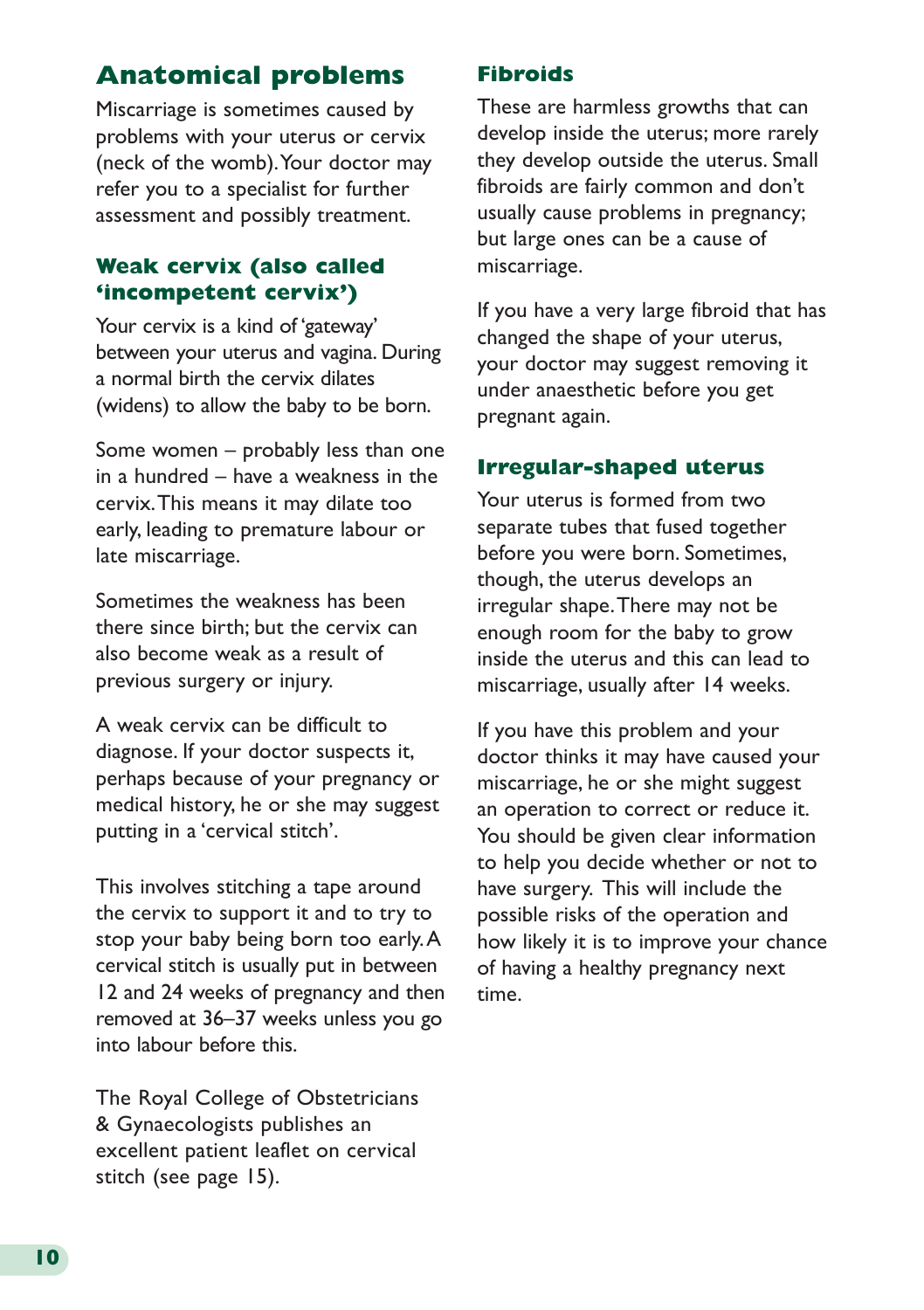# **Anatomical problems**

Miscarriage is sometimes caused by problems with your uterus or cervix (neck of the womb). Your doctor may refer you to a specialist for further assessment and possibly treatment.

#### **Weak cervix (also called 'incompetent cervix')**

Your cervix is a kind of 'gateway' between your uterus and vagina. During a normal birth the cervix dilates (widens) to allow the baby to be born.

Some women – probably less than one in a hundred – have a weakness in the cervix. This means it may dilate too early, leading to premature labour or late miscarriage.

Sometimes the weakness has been there since birth; but the cervix can also become weak as a result of previous surgery or injury.

A weak cervix can be difficult to diagnose. If your doctor suspects it, perhaps because of your pregnancy or medical history, he or she may suggest putting in a 'cervical stitch'.

This involves stitching a tape around the cervix to support it and to try to stop your baby being born too early. A cervical stitch is usually put in between 12 and 24 weeks of pregnancy and then removed at 36–37 weeks unless you go into labour before this.

The Royal College of Obstetricians & Gynaecologists publishes an [excellent patient](https://www.rcog.org.uk/globalassets/documents/patients/patient-information-leaflets/pregnancy/pi-cervical-stitch.pdf) leaflet on cervical stitch (see page 15).

#### **Fibroids**

These are harmless growths that can develop inside the uterus; more rarely they develop outside the uterus. Small fibroids are fairly common and don't usually cause problems in pregnancy; but large ones can be a cause of miscarriage.

If you have a very large fibroid that has changed the shape of your uterus, your doctor may suggest removing it under anaesthetic before you get pregnant again.

#### **Irregular-shaped uterus**

Your uterus is formed from two separate tubes that fused together before you were born. Sometimes, though, the uterus develops an irregular shape. There may not be enough room for the baby to grow inside the uterus and this can lead to miscarriage, usually after 14 weeks.

If you have this problem and your doctor thinks it may have caused your miscarriage, he or she might suggest an operation to correct or reduce it. You should be given clear information to help you decide whether or not to have surgery. This will include the possible risks of the operation and how likely it is to improve your chance of having a healthy pregnancy next time.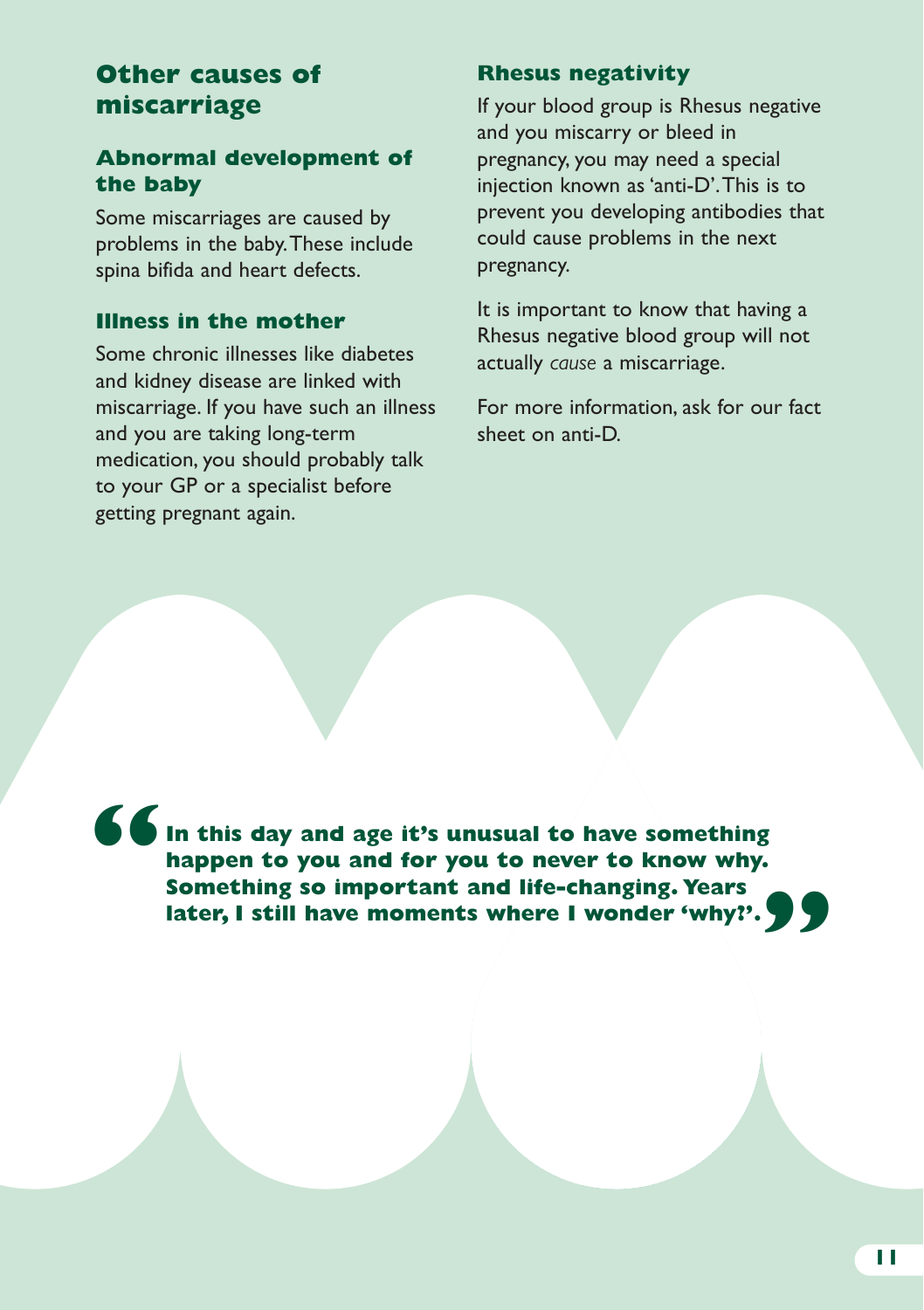# **Other causes of miscarriage**

## **Abnormal development of the baby**

Some miscarriages are caused by problems in the baby. These include spina bifida and heart defects.

#### **Illness in the mother**

Some chronic illnesses like diabetes and kidney disease are linked with miscarriage. If you have such an illness and you are taking long-term medication, you should probably talk to your GP or a specialist before getting pregnant again.

### **Rhesus negativity**

If your blood group is Rhesus negative and you miscarry or bleed in pregnancy, you may need a special injection known as 'anti-D'. This is to prevent you developing antibodies that could cause problems in the next pregnancy.

It is important to know that having a Rhesus negative blood group will not actually *cause* a miscarriage.

For more information, ask for our fact sheet on anti-D.

**In this day and age it's unusual to have something happen to you and for you to never to know why. Something so important and life-changing. Years later, I still have moments where I wonder 'why?'.**<br> **Something so important and life-changing. Years**<br>
later, I still have moments where I wonder 'why?'. **"**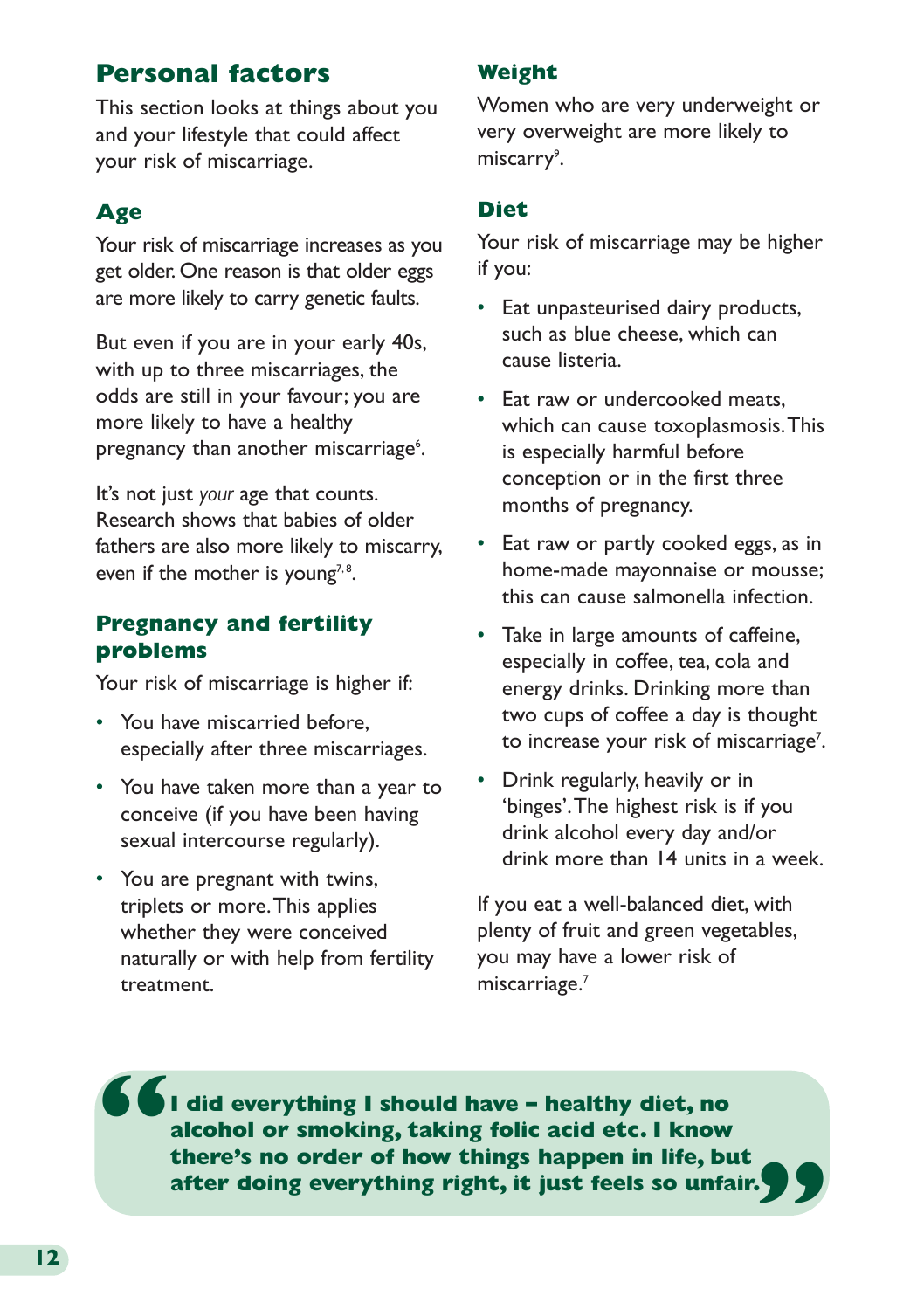# **Personal factors**

This section looks at things about you and your lifestyle that could affect your risk of miscarriage.

# **Age**

Your risk of miscarriage increases as you get older. One reason is that older eggs are more likely to carry genetic faults.

But even if you are in your early 40s, with up to three miscarriages, the odds are still in your favour; you are more likely to have a healthy pregnancy than another miscarriage<sup>6</sup>.

It's not just *your* age that counts. Research shows that babies of older fathers are also more likely to miscarry, even if the mother is young<sup>7,8</sup>.

#### **Pregnancy and fertility problems**

Your risk of miscarriage is higher if:

- You have miscarried before, especially after three miscarriages.
- You have taken more than a year to conceive (if you have been having sexual intercourse regularly).
- You are pregnant with twins, triplets or more. This applies whether they were conceived naturally or with help from fertility treatment.

#### **Weight**

Women who are very underweight or very overweight are more likely to miscarry<sup>9</sup>.

#### **Diet**

Your risk of miscarriage may be higher if you:

- Eat unpasteurised dairy products, such as blue cheese, which can cause listeria.
- Eat raw or undercooked meats, which can cause toxoplasmosis. This is especially harmful before conception or in the first three months of pregnancy.
- Eat raw or partly cooked eggs, as in home-made mayonnaise or mousse; this can cause salmonella infection.
- Take in large amounts of caffeine, especially in coffee, tea, cola and energy drinks. Drinking more than two cups of coffee a day is thought to increase your risk of miscarriage<sup>7</sup>.
- Drink regularly, heavily or in 'binges'. The highest risk is if you drink alcohol every day and/or drink more than 14 units in a week.

If you eat a well-balanced diet, with plenty of fruit and green vegetables, you may have a lower risk of miscarriage.7

**I did everything I should have – healthy diet, no alcohol or smoking, taking folic acid etc. I know there's no order of how things happen in life, but after doing everything right, it just feels so unfair. " "**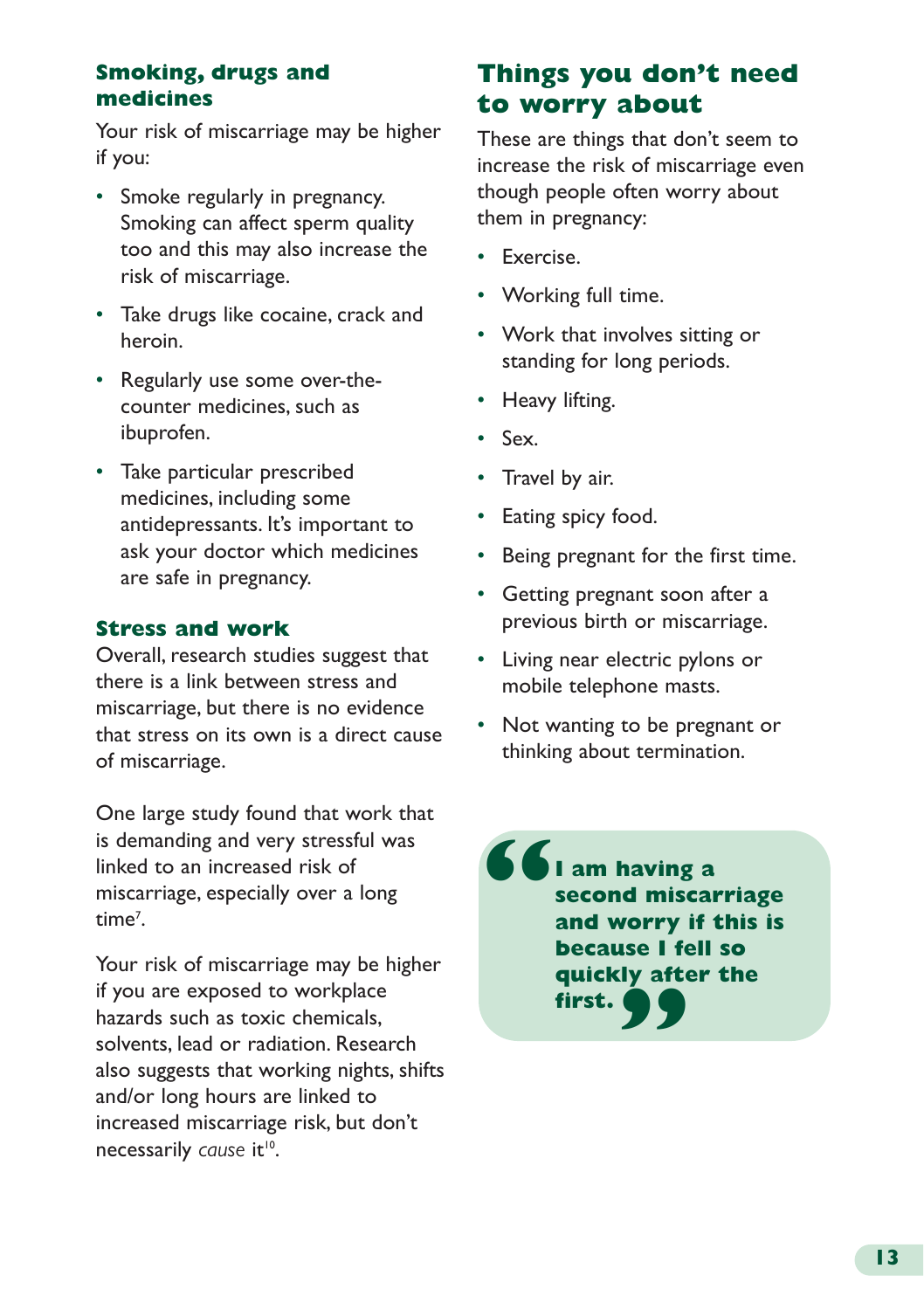## **Smoking, drugs and medicines**

Your risk of miscarriage may be higher if you:

- Smoke regularly in pregnancy. Smoking can affect sperm quality too and this may also increase the risk of miscarriage.
- Take drugs like cocaine, crack and heroin.
- Regularly use some over-thecounter medicines, such as ibuprofen.
- Take particular prescribed medicines, including some antidepressants. It's important to ask your doctor which medicines are safe in pregnancy.

## **Stress and work**

Overall, research studies suggest that there is a link between stress and miscarriage, but there is no evidence that stress on its own is a direct cause of miscarriage.

One large study found that work that is demanding and very stressful was linked to an increased risk of miscarriage, especially over a long time<sup>7</sup>.

Your risk of miscarriage may be higher if you are exposed to workplace hazards such as toxic chemicals, solvents, lead or radiation. Research also suggests that working nights, shifts and/or long hours are linked to increased miscarriage risk, but don't necessarily cause it<sup>10</sup>.

# **Things you don't need to worry about**

These are things that don't seem to increase the risk of miscarriage even though people often worry about them in pregnancy:

- Exercise.
- Working full time.
- Work that involves sitting or standing for long periods.
- Heavy lifting.
- Sex.
- Travel by air.
- Eating spicy food.
- Being pregnant for the first time.
- Getting pregnant soon after a previous birth or miscarriage.
- Living near electric pylons or mobile telephone masts.
- Not wanting to be pregnant or thinking about termination.

**I am having a second miscarriage and worry if this is because I fell so quickly after the first. " "**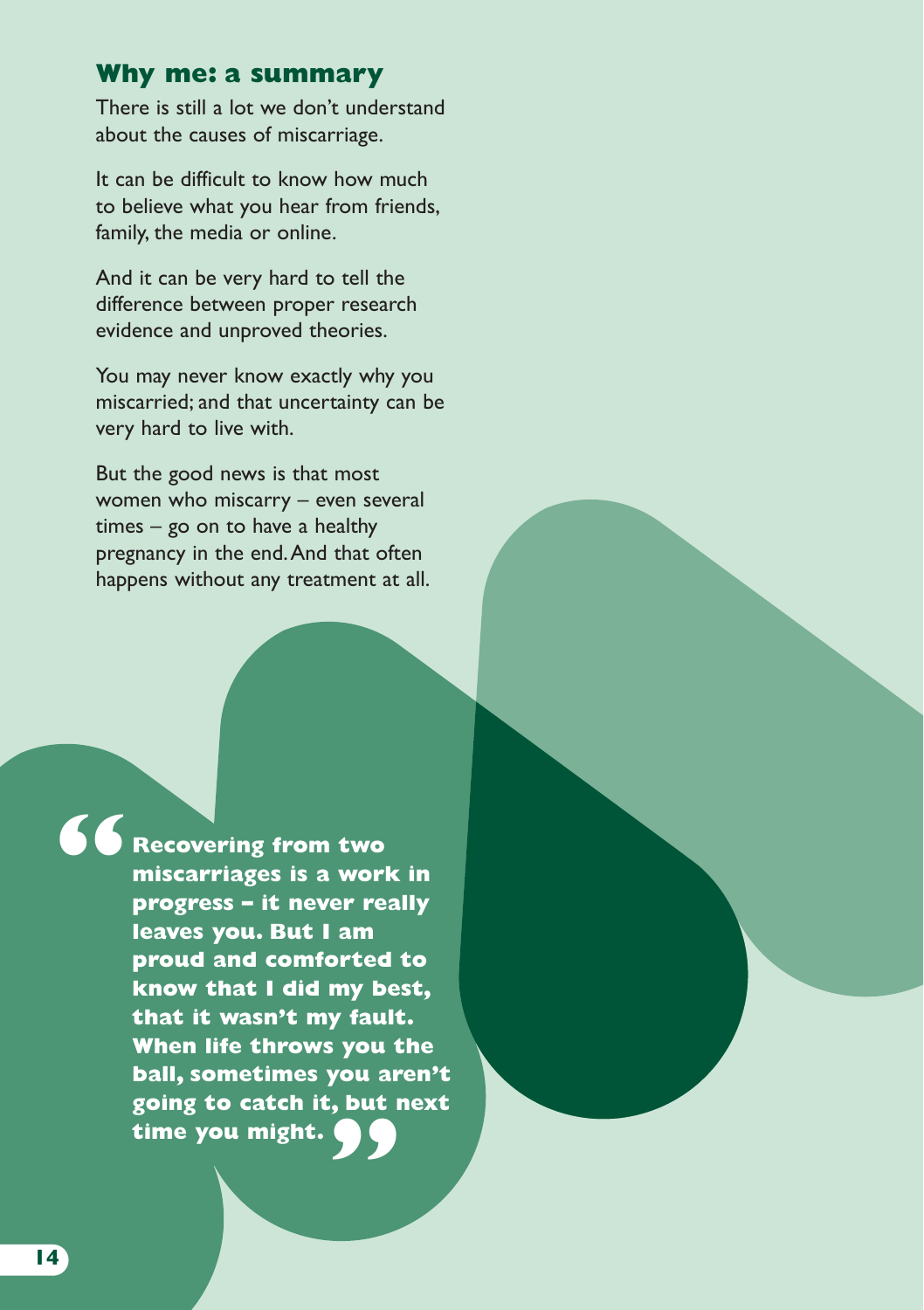## **Why me: a summary**

There is still a lot we don't understand about the causes of miscarriage.

It can be difficult to know how much to believe what you hear from friends, family, the media or online.

And it can be very hard to tell the difference between proper research evidence and unproved theories.

You may never know exactly why you miscarried; and that uncertainty can be very hard to live with.

But the good news is that most women who miscarry – even several times – go on to have a healthy pregnancy in the end. And that often happens without any treatment at all.

**"**

**Recovering from two miscarriages is a work in progress – it never really leaves you. But I am proud and comforted to know that I did my best, that it wasn't my fault. When life throws you the ball, sometimes you aren't going to catch it, but next " time you might.**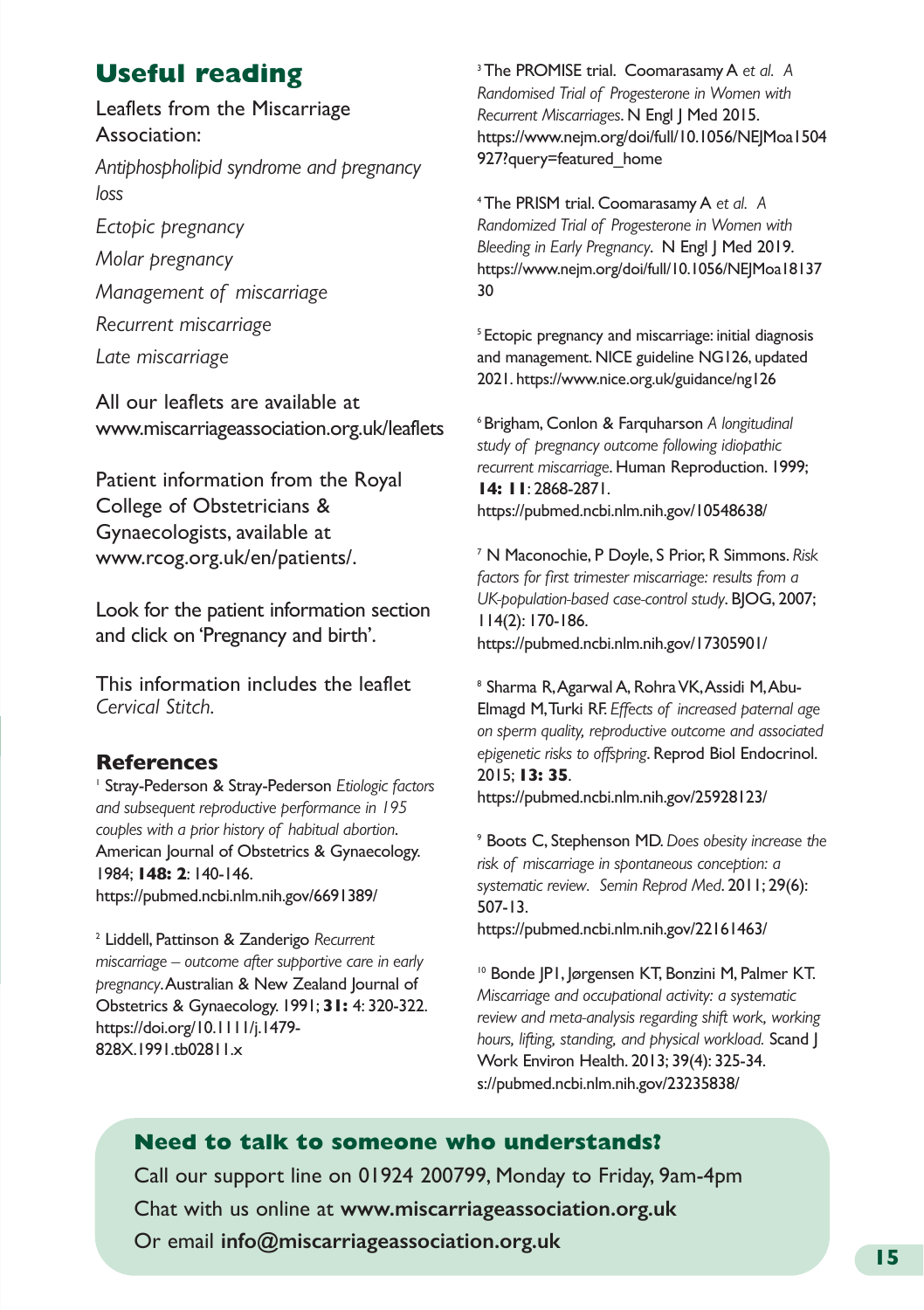# **Useful reading**

Leaflets from the Miscarriage Association:

*Antiphospholipid syndrome and pregnancy loss*

*Ectopic pregnancy*

*Molar pregnancy*

*Management of miscarriage*

*Recurrent miscarriage*

*Late miscarriage*

All our leaflets are available at [www.miscarriageassociation.org.uk/leaflets](http://www.miscarriageassociation.org.uk/leaflets)

Patient information from the Royal College of Obstetricians & Gynaecologists, available at [www.rcog.org.uk/en/patients/.](http://www.rcog.org.uk/en/patients/)

Look for the patient information section and click on 'Pregnancy and birth'.

This information includes the leaflet *[Cervical Stitch.](https://www.rcog.org.uk/globalassets/documents/patients/patient-information-leaflets/pregnancy/pi-cervical-stitch.pdf)*

#### **References**

1 Stray-Pederson & Stray-Pederson *[Etiologic factors](https://pubmed.ncbi.nlm.nih.gov/6691389/)  [and subsequent reproductive performance in 195](https://pubmed.ncbi.nlm.nih.gov/6691389/) [couples with a prior history of habitual abortion](https://pubmed.ncbi.nlm.nih.gov/6691389/)*. American Journal of Obstetrics & Gynaecology. 1984; **148: 2**: 140-146. <https://pubmed.ncbi.nlm.nih.gov/6691389/>

2 Liddell, Pattinson & Zanderigo *[Recurrent](https://doi.org/10.1111/j.1479-828X.1991.tb02811.x ) [miscarriage – outcome after supportive care in early](https://doi.org/10.1111/j.1479-828X.1991.tb02811.x ) [pregnancy](https://doi.org/10.1111/j.1479-828X.1991.tb02811.x )*. Australian & New Zealand Journal of Obstetrics & Gynaecology. 1991; **31:** 4: 320-322. [https://doi.org/10.1111/j.1479-](https://doi.org/10.1111/j.1479-828X.1991.tb02811.x ) [828X.1991.tb02811.x](https://doi.org/10.1111/j.1479-828X.1991.tb02811.x )

3 The PROMISE trial. Coomarasamy A *[et al. A](https://www.nejm.org/doi/full/10.1056/NEJMoa1504927?query=featured_home) [Randomised Trial of Progesterone in Women with](https://www.nejm.org/doi/full/10.1056/NEJMoa1504927?query=featured_home) [Recurrent Miscarriages](https://www.nejm.org/doi/full/10.1056/NEJMoa1504927?query=featured_home)*. N Engl J Med 2015. [https://www.nejm.org/doi/full/10.1056/NEJMoa1504](https://www.nejm.org/doi/full/10.1056/NEJMoa1504927?query=featured_home) [927?query=featured\\_home](https://www.nejm.org/doi/full/10.1056/NEJMoa1504927?query=featured_home)

4 The PRISM trial. Coomarasamy A *et al. [A](https://www.nejm.org/doi/full/10.1056/NEJMoa1813730) [Randomized Trial of Progesterone in Women with](https://www.nejm.org/doi/full/10.1056/NEJMoa1813730) [Bleeding in Early Pregnancy](https://www.nejm.org/doi/full/10.1056/NEJMoa1813730)*. N Engl J Med 2019. [https://www.nejm.org/doi/full/10.1056/NEJMoa18137](https://www.nejm.org/doi/full/10.1056/NEJMoa1813730) [30](https://www.nejm.org/doi/full/10.1056/NEJMoa1813730)

5 Ectopic pregnancy and miscarriage: [initial diagnosis](http://www.nice.org.uk/guidance/ng126) [and management. NICE guideline NG126, updated](http://www.nice.org.uk/guidance/ng126) [2021. https://www.nice.org.uk/guidance/ng126](http://www.nice.org.uk/guidance/ng126)

6 Brigham, Conlon & Farquharson *[A longitudinal](https://pubmed.ncbi.nlm.nih.gov/10548638/ ) [study of pregnancy outcome following idiopathic](https://pubmed.ncbi.nlm.nih.gov/10548638/ ) [recurrent miscarriage](https://pubmed.ncbi.nlm.nih.gov/10548638/ )*. Human Reproduction. 1999; **14: 11**: 2868-2871. [https://pubmed.ncbi.nlm.nih.gov/10548638/](https://pubmed.ncbi.nlm.nih.gov/10548638/ ) 

7 N Maconochie, P Doyle, S Prior, R Simmons. *[Risk](https://pubmed.ncbi.nlm.nih.gov/17305901/ ) [factors for first trimester miscarriage: results from a](https://pubmed.ncbi.nlm.nih.gov/17305901/ ) [UK-population-based case-control study](https://pubmed.ncbi.nlm.nih.gov/17305901/ )*. BJOG, 2007; 114(2): 170-186. [https://pubmed.ncbi.nlm.nih.gov/17305901/](https://pubmed.ncbi.nlm.nih.gov/17305901/ ) 

8 Sharma R, Agarwal A, Rohra VK, Assidi M, Abu-Elmagd M, Turki RF. *[Effects of increased paternal age](https://pubmed.ncbi.nlm.nih.gov/25928123/) [on sperm quality, reproductive outcome and associated](https://pubmed.ncbi.nlm.nih.gov/25928123/) [epigenetic risks to offspring](https://pubmed.ncbi.nlm.nih.gov/25928123/)*. Reprod Biol Endocrinol. 2015; **13: 35**. <https://pubmed.ncbi.nlm.nih.gov/25928123/>

9 Boots C, Stephenson MD. *[Does obesity increase the](https://pubmed.ncbi.nlm.nih.gov/22161463/) [risk of miscarriage in spontaneous conception: a](https://pubmed.ncbi.nlm.nih.gov/22161463/) [systematic review.](https://pubmed.ncbi.nlm.nih.gov/22161463/) Semin Reprod Med*. 2011; 29(6): 507-13.

<https://pubmed.ncbi.nlm.nih.gov/22161463/>

10 Bonde JP1, Jørgensen KT, Bonzini M, Palmer KT. *[Miscarriage and occupational activity: a systematic](https://pubmed.ncbi.nlm.nih.gov/23235838/ ) [review and meta-analysis regarding shift work, working](https://pubmed.ncbi.nlm.nih.gov/23235838/ ) [hours, lifting, standing, and physical workload.](https://pubmed.ncbi.nlm.nih.gov/23235838/ )* **Scand**  $\vert$ Work Environ Health. 2013; 39(4): 325-34. [s://pubmed.ncbi.nlm.nih.gov/23235838/](https://pubmed.ncbi.nlm.nih.gov/23235838/ ) 

#### **Need to talk to someone who understands?**

Call our support line on 01924 200799, Monday to Friday, 9am-4pm Chat with us online at **www.miscarriageassociation.org.uk** Or email **info@miscarriageassociation.org.uk**